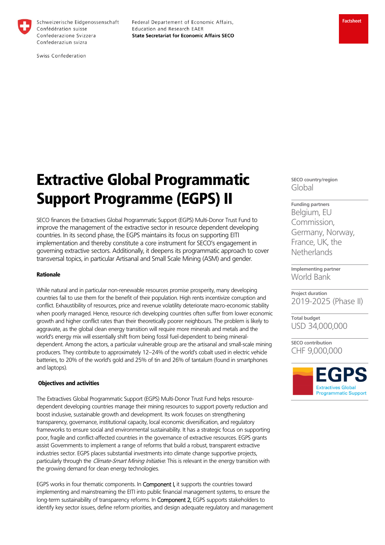

Schweizerische Eidgenossenschaft Confédération suisse Confederazione Svizzera Confederaziun svizra

Federal Departement of Economic Affairs, Education and Research EAER **State Secretariat for Economic Affairs SECO** 

Swiss Confederation

# Extractive Global Programmatic Support Programme (EGPS) II

SECO finances the Extractives Global Programmatic Support (EGPS) Multi-Donor Trust Fund to improve the management of the extractive sector in resource dependent developing countries. In its second phase, the EGPS maintains its focus on supporting EITI implementation and thereby constitute a core instrument for SECO's engagement in governing extractive sectors. Additionally, it deepens its programmatic approach to cover transversal topics, in particular Artisanal and Small Scale Mining (ASM) and gender.

## Rationale

While natural and in particular non-renewable resources promise prosperity, many developing countries fail to use them for the benefit of their population. High rents incentivize corruption and conflict. Exhaustibility of resources, price and revenue volatility deteriorate macro-economic stability when poorly managed. Hence, resource rich developing countries often suffer from lower economic growth and higher conflict rates than their theoretically poorer neighbours. The problem is likely to aggravate, as the global clean energy transition will require more minerals and metals and the world's energy mix will essentially shift from being fossil fuel-dependent to being mineraldependent. Among the actors, a particular vulnerable group are the artisanal and small-scale mining producers. They contribute to approximately 12–24% of the world's cobalt used in electric vehicle batteries, to 20% of the world's gold and 25% of tin and 26% of tantalum (found in smartphones and laptops).

#### Objectives and activities

The Extractives Global Programmatic Support (EGPS) Multi-Donor Trust Fund helps resourcedependent developing countries manage their mining resources to support poverty reduction and boost inclusive, sustainable growth and development. Its work focuses on strengthening transparency, governance, institutional capacity, local economic diversification, and regulatory frameworks to ensure social and environmental sustainability. It has a strategic focus on supporting poor, fragile and conflict-affected countries in the governance of extractive resources. EGPS grants assist Governments to implement a range of reforms that build a robust, transparent extractive industries sector. EGPS places substantial investments into climate change supportive projects, particularly through the Climate-Smart Mining Initiative. This is relevant in the energy transition with the growing demand for clean energy technologies.

EGPS works in four thematic components. In **Component I,** it supports the countries toward implementing and mainstreaming the EITI into public financial management systems, to ensure the long-term sustainability of transparency reforms. In Component 2, EGPS supports stakeholders to identify key sector issues, define reform priorities, and design adequate regulatory and management **SECO country/region**  Global

**Funding partners**  Belgium, EU Commission, Germany, Norway, France, UK, the **Netherlands** 

**Implementing partner**  World Bank

**Project duration**  2019-2025 (Phase II)

**Total budget**  USD 34,000,000

**SECO contribution**  CHF 9,000,000